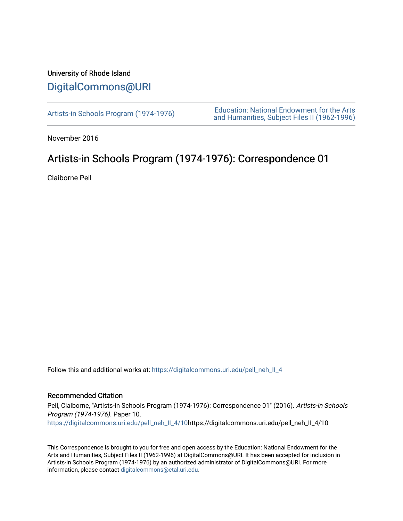## University of Rhode Island [DigitalCommons@URI](https://digitalcommons.uri.edu/)

[Artists-in Schools Program \(1974-1976\)](https://digitalcommons.uri.edu/pell_neh_II_4) [Education: National Endowment for the Arts](https://digitalcommons.uri.edu/pell_neh_II)  [and Humanities, Subject Files II \(1962-1996\)](https://digitalcommons.uri.edu/pell_neh_II) 

November 2016

## Artists-in Schools Program (1974-1976): Correspondence 01

Claiborne Pell

Follow this and additional works at: [https://digitalcommons.uri.edu/pell\\_neh\\_II\\_4](https://digitalcommons.uri.edu/pell_neh_II_4?utm_source=digitalcommons.uri.edu%2Fpell_neh_II_4%2F10&utm_medium=PDF&utm_campaign=PDFCoverPages) 

## Recommended Citation

Pell, Claiborne, "Artists-in Schools Program (1974-1976): Correspondence 01" (2016). Artists-in Schools Program (1974-1976). Paper 10. [https://digitalcommons.uri.edu/pell\\_neh\\_II\\_4/10h](https://digitalcommons.uri.edu/pell_neh_II_4/10?utm_source=digitalcommons.uri.edu%2Fpell_neh_II_4%2F10&utm_medium=PDF&utm_campaign=PDFCoverPages)ttps://digitalcommons.uri.edu/pell\_neh\_II\_4/10

This Correspondence is brought to you for free and open access by the Education: National Endowment for the Arts and Humanities, Subject Files II (1962-1996) at DigitalCommons@URI. It has been accepted for inclusion in Artists-in Schools Program (1974-1976) by an authorized administrator of DigitalCommons@URI. For more information, please contact [digitalcommons@etal.uri.edu.](mailto:digitalcommons@etal.uri.edu)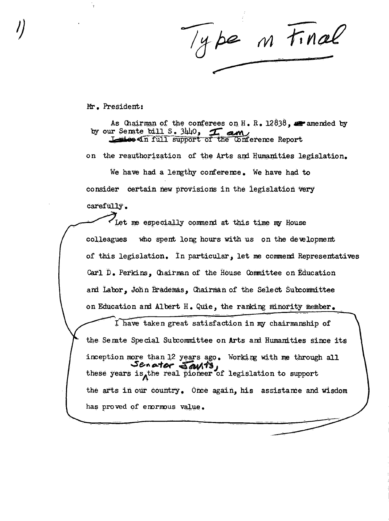Type in Final

Mr. President:

As Chairman of the conferees on H.R.  $12838$ , are amended by by our Semite bill S. 3440, The Conference Report

on the reauthorization of the Arts and Humanities legislation. We have had a lengthy conference. We have had to consider certain new provisions in the legislation very carefully. Thet me especially commend at this time my House who spent long hours with us on the development colleagues of this legislation. In particular, let me commend Representatives Carl D. Perkins, Chairman of the House Committee on Education and Labor, John Brademas, Chairman of the Select Subcommittee on Education and Albert H. Quie, the ranking minority member.

I have taken great satisfaction in my chairmanship of the Senate Special Subcommittee on Arts and Humanities since its inception more than 12 years ago. Working with me through all these years is the real pioneer of legislation to support the arts in our country. Once again, his assistance and wisdom has proved of enormous value.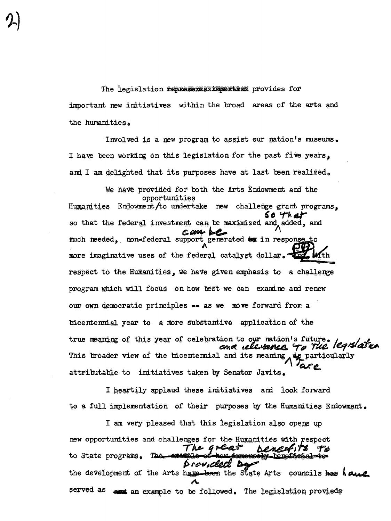The legislation *tenkesemerikanskam* provides for important new initiatives within the broad areas of the arts and the humanities.

Involved is a new program to assist our nation's museums. I have been working on this legislation for the past five years, and I am delighted that its purposes have at last been realized.

We have provided for both the Arts Endowment and the opportunities Humanities Endowment /to undertake new challenge grant programs. 50 That so that the federal investment can be maximized and added, and can be much needed. non-federal support generated by in response to more imaginative uses of the federal catalyst dollar. Kth respect to the Humanities, we have given emphasis to a challenge program which will focus on how best we can examine and renew our own democratic principles -- as we move forward from a bicentennial year to a more substantive application of the true meaning of this year of celebration to our nation's future. and relevance to the legislation This broader view of the bicentermial and its meaning, . is particularly attributable to imitiatives taken by Senator Javits.

I heartily applaud these initiatives and look forward to a full implementation of their purposes by the Humanities Endowment.

I am very pleased that this legislation also opens up new opportunities and challenges for the Humanities with respect The Great renes to State programs. The exem Provilled Da the development of the Arts have been the State Arts councils hes house served as es an example to be followed. The legislation provieds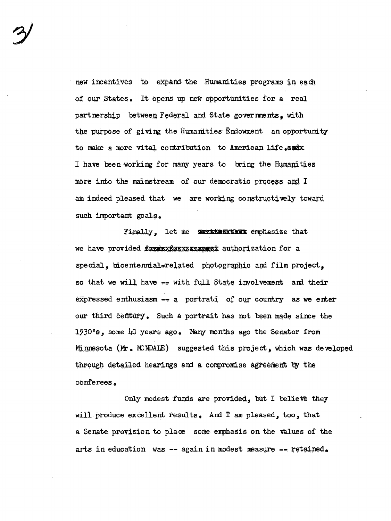new incentives to expand the Humanities programs in each of our States. It opens up new opportunities for a real partnership between Federal and State governments. with the purpose of giving the Humanities Endowment an opportunity to make a more vital contribution to American life.amix I have been working for many years to bring the Humanities more into the mainstream of our democratic process and I am indeed pleased that we are working constructively toward such important goals.

Finally, let me members emphasize that special, bicentennial-related photographic and film project, so that we will have -- with full State involvement and their expressed enthusiasm -- a portrati of our country as we enter our third century. Such a portrait has not been made since the 1930's, some 40 years ago. Many months ago the Senator from Minnesota (Mr. MONDALE) suggested this project, which was developed through detailed hearings and a compromise agreement by the conferees.

Only modest funds are provided, but I believe they will produce excellent results. And I am pleased, too, that a Senate provision to place some emphasis on the values of the arts in education was -- again in modest measure -- retained.